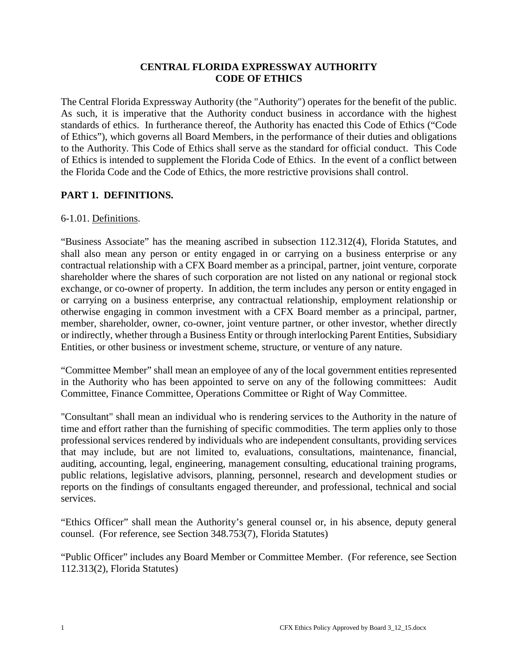### **CENTRAL FLORIDA EXPRESSWAY AUTHORITY CODE OF ETHICS**

The Central Florida Expressway Authority (the "Authority") operates for the benefit of the public. As such, it is imperative that the Authority conduct business in accordance with the highest standards of ethics. In furtherance thereof, the Authority has enacted this Code of Ethics ("Code of Ethics"), which governs all Board Members, in the performance of their duties and obligations to the Authority. This Code of Ethics shall serve as the standard for official conduct. This Code of Ethics is intended to supplement the Florida Code of Ethics. In the event of a conflict between the Florida Code and the Code of Ethics, the more restrictive provisions shall control.

# **PART 1. DEFINITIONS.**

### 6-1.01. Definitions.

"Business Associate" has the meaning ascribed in subsection 112.312(4), Florida Statutes, and shall also mean any person or entity engaged in or carrying on a business enterprise or any contractual relationship with a CFX Board member as a principal, partner, joint venture, corporate shareholder where the shares of such corporation are not listed on any national or regional stock exchange, or co-owner of property. In addition, the term includes any person or entity engaged in or carrying on a business enterprise, any contractual relationship, employment relationship or otherwise engaging in common investment with a CFX Board member as a principal, partner, member, shareholder, owner, co-owner, joint venture partner, or other investor, whether directly or indirectly, whether through a Business Entity or through interlocking Parent Entities, Subsidiary Entities, or other business or investment scheme, structure, or venture of any nature.

"Committee Member" shall mean an employee of any of the local government entities represented in the Authority who has been appointed to serve on any of the following committees: Audit Committee, Finance Committee, Operations Committee or Right of Way Committee.

"Consultant" shall mean an individual who is rendering services to the Authority in the nature of time and effort rather than the furnishing of specific commodities. The term applies only to those professional services rendered by individuals who are independent consultants, providing services that may include, but are not limited to, evaluations, consultations, maintenance, financial, auditing, accounting, legal, engineering, management consulting, educational training programs, public relations, legislative advisors, planning, personnel, research and development studies or reports on the findings of consultants engaged thereunder, and professional, technical and social services.

"Ethics Officer" shall mean the Authority's general counsel or, in his absence, deputy general counsel. (For reference, see Section 348.753(7), Florida Statutes)

"Public Officer" includes any Board Member or Committee Member. (For reference, see Section 112.313(2), Florida Statutes)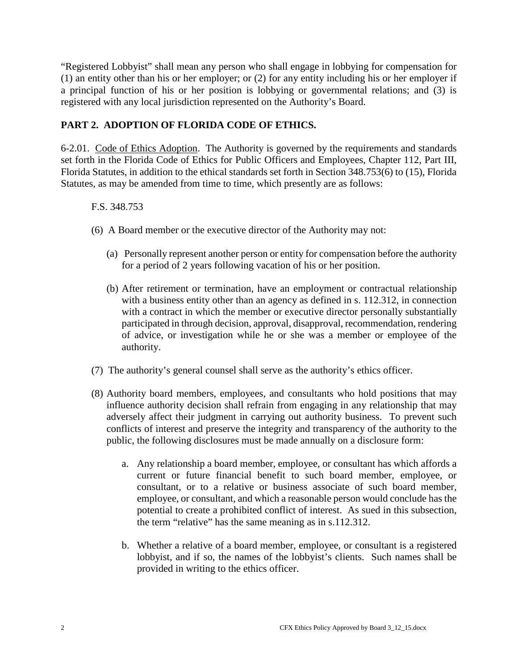"Registered Lobbyist" shall mean any person who shall engage in lobbying for compensation for (1) an entity other than his or her employer; or (2) for any entity including his or her employer if a principal function of his or her position is lobbying or governmental relations; and (3) is registered with any local jurisdiction represented on the Authority's Board.

# **PART 2. ADOPTION OF FLORIDA CODE OF ETHICS.**

6-2.01. Code of Ethics Adoption. The Authority is governed by the requirements and standards set forth in the Florida Code of Ethics for Public Officers and Employees, Chapter 112, Part III, Florida Statutes, in addition to the ethical standards set forth in Section 348.753(6) to (15), Florida Statutes, as may be amended from time to time, which presently are as follows:

### F.S. 348.753

- (6) A Board member or the executive director of the Authority may not:
	- (a) Personally represent another person or entity for compensation before the authority for a period of 2 years following vacation of his or her position.
	- (b) After retirement or termination, have an employment or contractual relationship with a business entity other than an agency as defined in s. 112.312, in connection with a contract in which the member or executive director personally substantially participated in through decision, approval, disapproval, recommendation, rendering of advice, or investigation while he or she was a member or employee of the authority.
- (7) The authority's general counsel shall serve as the authority's ethics officer.
- (8) Authority board members, employees, and consultants who hold positions that may influence authority decision shall refrain from engaging in any relationship that may adversely affect their judgment in carrying out authority business. To prevent such conflicts of interest and preserve the integrity and transparency of the authority to the public, the following disclosures must be made annually on a disclosure form:
	- a. Any relationship a board member, employee, or consultant has which affords a current or future financial benefit to such board member, employee, or consultant, or to a relative or business associate of such board member, employee, or consultant, and which a reasonable person would conclude has the potential to create a prohibited conflict of interest. As sued in this subsection, the term "relative" has the same meaning as in s.112.312.
	- b. Whether a relative of a board member, employee, or consultant is a registered lobbyist, and if so, the names of the lobbyist's clients. Such names shall be provided in writing to the ethics officer.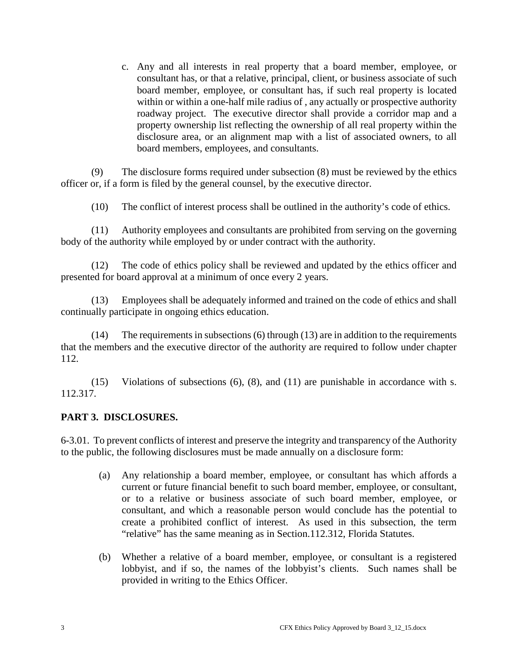c. Any and all interests in real property that a board member, employee, or consultant has, or that a relative, principal, client, or business associate of such board member, employee, or consultant has, if such real property is located within or within a one-half mile radius of , any actually or prospective authority roadway project. The executive director shall provide a corridor map and a property ownership list reflecting the ownership of all real property within the disclosure area, or an alignment map with a list of associated owners, to all board members, employees, and consultants.

(9) The disclosure forms required under subsection (8) must be reviewed by the ethics officer or, if a form is filed by the general counsel, by the executive director.

(10) The conflict of interest process shall be outlined in the authority's code of ethics.

(11) Authority employees and consultants are prohibited from serving on the governing body of the authority while employed by or under contract with the authority.

(12) The code of ethics policy shall be reviewed and updated by the ethics officer and presented for board approval at a minimum of once every 2 years.

(13) Employees shall be adequately informed and trained on the code of ethics and shall continually participate in ongoing ethics education.

(14) The requirements in subsections (6) through (13) are in addition to the requirements that the members and the executive director of the authority are required to follow under chapter 112.

(15) Violations of subsections (6), (8), and (11) are punishable in accordance with s. 112.317.

## **PART 3. DISCLOSURES.**

6-3.01. To prevent conflicts of interest and preserve the integrity and transparency of the Authority to the public, the following disclosures must be made annually on a disclosure form:

- (a) Any relationship a board member, employee, or consultant has which affords a current or future financial benefit to such board member, employee, or consultant, or to a relative or business associate of such board member, employee, or consultant, and which a reasonable person would conclude has the potential to create a prohibited conflict of interest. As used in this subsection, the term "relative" has the same meaning as in Section.112.312, Florida Statutes.
- (b) Whether a relative of a board member, employee, or consultant is a registered lobbyist, and if so, the names of the lobbyist's clients. Such names shall be provided in writing to the Ethics Officer.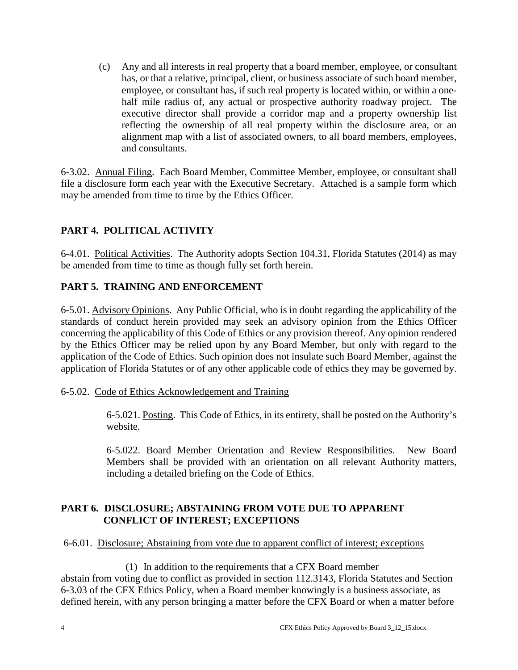(c) Any and all interests in real property that a board member, employee, or consultant has, or that a relative, principal, client, or business associate of such board member, employee, or consultant has, if such real property is located within, or within a onehalf mile radius of, any actual or prospective authority roadway project. The executive director shall provide a corridor map and a property ownership list reflecting the ownership of all real property within the disclosure area, or an alignment map with a list of associated owners, to all board members, employees, and consultants.

6-3.02. Annual Filing. Each Board Member, Committee Member, employee, or consultant shall file a disclosure form each year with the Executive Secretary. Attached is a sample form which may be amended from time to time by the Ethics Officer.

# **PART 4. POLITICAL ACTIVITY**

6-4.01. Political Activities. The Authority adopts Section 104.31, Florida Statutes (2014) as may be amended from time to time as though fully set forth herein.

# **PART 5. TRAINING AND ENFORCEMENT**

6-5.01. Advisory Opinions. Any Public Official, who is in doubt regarding the applicability of the standards of conduct herein provided may seek an advisory opinion from the Ethics Officer concerning the applicability of this Code of Ethics or any provision thereof. Any opinion rendered by the Ethics Officer may be relied upon by any Board Member, but only with regard to the application of the Code of Ethics. Such opinion does not insulate such Board Member, against the application of Florida Statutes or of any other applicable code of ethics they may be governed by.

## 6-5.02. Code of Ethics Acknowledgement and Training

6-5.021. Posting. This Code of Ethics, in its entirety, shall be posted on the Authority's website.

6-5.022. Board Member Orientation and Review Responsibilities. New Board Members shall be provided with an orientation on all relevant Authority matters, including a detailed briefing on the Code of Ethics.

## **PART 6. DISCLOSURE; ABSTAINING FROM VOTE DUE TO APPARENT CONFLICT OF INTEREST; EXCEPTIONS**

#### 6-6.01. Disclosure; Abstaining from vote due to apparent conflict of interest; exceptions

(1) In addition to the requirements that a CFX Board member abstain from voting due to conflict as provided in section 112.3143, Florida Statutes and Section 6-3.03 of the CFX Ethics Policy, when a Board member knowingly is a business associate, as defined herein, with any person bringing a matter before the CFX Board or when a matter before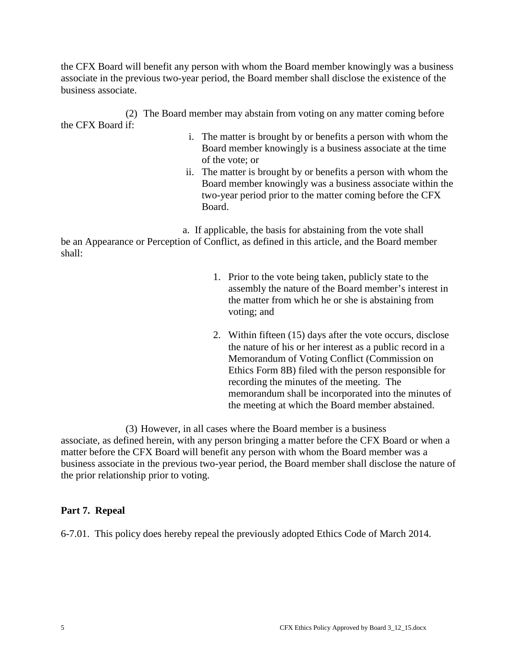the CFX Board will benefit any person with whom the Board member knowingly was a business associate in the previous two-year period, the Board member shall disclose the existence of the business associate.

(2) The Board member may abstain from voting on any matter coming before the CFX Board if:

- i. The matter is brought by or benefits a person with whom the Board member knowingly is a business associate at the time of the vote; or
- ii. The matter is brought by or benefits a person with whom the Board member knowingly was a business associate within the two-year period prior to the matter coming before the CFX Board.

a. If applicable, the basis for abstaining from the vote shall

be an Appearance or Perception of Conflict, as defined in this article, and the Board member shall:

- 1. Prior to the vote being taken, publicly state to the assembly the nature of the Board member's interest in the matter from which he or she is abstaining from voting; and
- 2. Within fifteen (15) days after the vote occurs, disclose the nature of his or her interest as a public record in a Memorandum of Voting Conflict (Commission on Ethics Form 8B) filed with the person responsible for recording the minutes of the meeting. The memorandum shall be incorporated into the minutes of the meeting at which the Board member abstained.

(3) However, in all cases where the Board member is a business associate, as defined herein, with any person bringing a matter before the CFX Board or when a matter before the CFX Board will benefit any person with whom the Board member was a business associate in the previous two-year period, the Board member shall disclose the nature of the prior relationship prior to voting.

# **Part 7. Repeal**

6-7.01. This policy does hereby repeal the previously adopted Ethics Code of March 2014.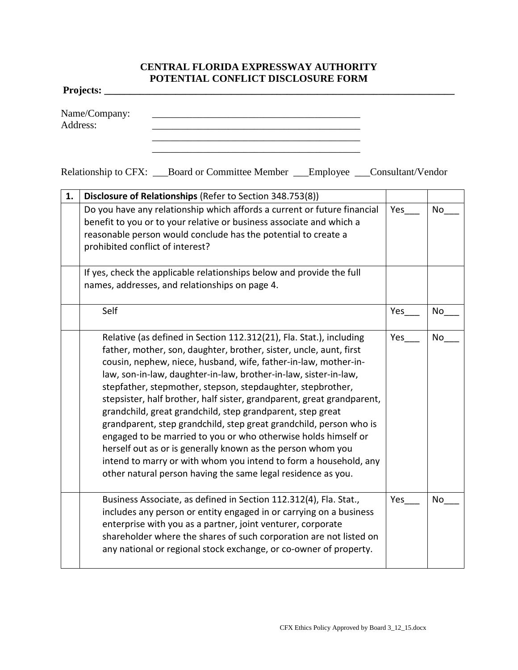## **CENTRAL FLORIDA EXPRESSWAY AUTHORITY POTENTIAL CONFLICT DISCLOSURE FORM**

**Projects: \_\_\_\_\_\_\_\_\_\_\_\_\_\_\_\_\_\_\_\_\_\_\_\_\_\_\_\_\_\_\_\_\_\_\_\_\_\_\_\_\_\_\_\_\_\_\_\_\_\_\_\_\_\_\_\_\_\_\_\_\_\_\_\_\_\_\_\_\_**

Name/Company: \_\_\_\_\_\_\_\_\_\_\_\_\_\_\_\_\_\_\_\_\_\_\_\_\_\_\_\_\_\_\_\_\_\_\_\_\_\_\_\_\_ Address: \_\_\_\_\_\_\_\_\_\_\_\_\_\_\_\_\_\_\_\_\_\_\_\_\_\_\_\_\_\_\_\_\_\_\_\_\_\_\_\_\_

Relationship to CFX: \_\_\_Board or Committee Member \_\_\_Employee \_\_\_Consultant/Vendor

\_\_\_\_\_\_\_\_\_\_\_\_\_\_\_\_\_\_\_\_\_\_\_\_\_\_\_\_\_\_\_\_\_\_\_\_\_\_\_\_\_ \_\_\_\_\_\_\_\_\_\_\_\_\_\_\_\_\_\_\_\_\_\_\_\_\_\_\_\_\_\_\_\_\_\_\_\_\_\_\_\_\_

| 1. | Disclosure of Relationships (Refer to Section 348.753(8))                                                                                                                                                                                                                                                                                                                                                                                                                                                                                                                                                                                                                                                                                                                                                                          |     |           |
|----|------------------------------------------------------------------------------------------------------------------------------------------------------------------------------------------------------------------------------------------------------------------------------------------------------------------------------------------------------------------------------------------------------------------------------------------------------------------------------------------------------------------------------------------------------------------------------------------------------------------------------------------------------------------------------------------------------------------------------------------------------------------------------------------------------------------------------------|-----|-----------|
|    | Do you have any relationship which affords a current or future financial<br>benefit to you or to your relative or business associate and which a<br>reasonable person would conclude has the potential to create a<br>prohibited conflict of interest?                                                                                                                                                                                                                                                                                                                                                                                                                                                                                                                                                                             | Yes | No        |
|    | If yes, check the applicable relationships below and provide the full<br>names, addresses, and relationships on page 4.                                                                                                                                                                                                                                                                                                                                                                                                                                                                                                                                                                                                                                                                                                            |     |           |
|    | Self                                                                                                                                                                                                                                                                                                                                                                                                                                                                                                                                                                                                                                                                                                                                                                                                                               | Yes | No        |
|    | Relative (as defined in Section 112.312(21), Fla. Stat.), including<br>father, mother, son, daughter, brother, sister, uncle, aunt, first<br>cousin, nephew, niece, husband, wife, father-in-law, mother-in-<br>law, son-in-law, daughter-in-law, brother-in-law, sister-in-law,<br>stepfather, stepmother, stepson, stepdaughter, stepbrother,<br>stepsister, half brother, half sister, grandparent, great grandparent,<br>grandchild, great grandchild, step grandparent, step great<br>grandparent, step grandchild, step great grandchild, person who is<br>engaged to be married to you or who otherwise holds himself or<br>herself out as or is generally known as the person whom you<br>intend to marry or with whom you intend to form a household, any<br>other natural person having the same legal residence as you. | Yes | <b>No</b> |
|    | Business Associate, as defined in Section 112.312(4), Fla. Stat.,<br>includes any person or entity engaged in or carrying on a business<br>enterprise with you as a partner, joint venturer, corporate<br>shareholder where the shares of such corporation are not listed on<br>any national or regional stock exchange, or co-owner of property.                                                                                                                                                                                                                                                                                                                                                                                                                                                                                  | Yes | No        |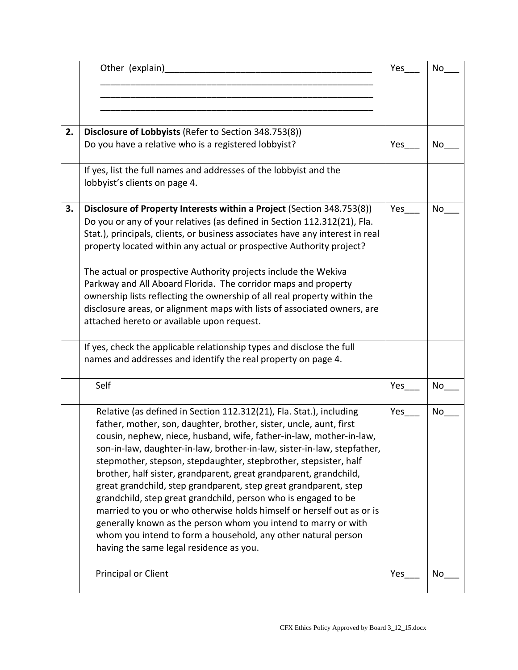|    | Other (explain)                                                                                                                                                                                                                                                                                                                                                                                                                                                                                                                                                                                                                                                                                                                                                                                                                   | Yes | No        |
|----|-----------------------------------------------------------------------------------------------------------------------------------------------------------------------------------------------------------------------------------------------------------------------------------------------------------------------------------------------------------------------------------------------------------------------------------------------------------------------------------------------------------------------------------------------------------------------------------------------------------------------------------------------------------------------------------------------------------------------------------------------------------------------------------------------------------------------------------|-----|-----------|
| 2. | Disclosure of Lobbyists (Refer to Section 348.753(8))<br>Do you have a relative who is a registered lobbyist?                                                                                                                                                                                                                                                                                                                                                                                                                                                                                                                                                                                                                                                                                                                     | Yes | No        |
|    | If yes, list the full names and addresses of the lobbyist and the<br>lobbyist's clients on page 4.                                                                                                                                                                                                                                                                                                                                                                                                                                                                                                                                                                                                                                                                                                                                |     |           |
| 3. | Disclosure of Property Interests within a Project (Section 348.753(8))<br>Do you or any of your relatives (as defined in Section 112.312(21), Fla.<br>Stat.), principals, clients, or business associates have any interest in real<br>property located within any actual or prospective Authority project?<br>The actual or prospective Authority projects include the Wekiva<br>Parkway and All Aboard Florida. The corridor maps and property<br>ownership lists reflecting the ownership of all real property within the<br>disclosure areas, or alignment maps with lists of associated owners, are<br>attached hereto or available upon request.                                                                                                                                                                            | Yes | No        |
|    | If yes, check the applicable relationship types and disclose the full<br>names and addresses and identify the real property on page 4.                                                                                                                                                                                                                                                                                                                                                                                                                                                                                                                                                                                                                                                                                            |     |           |
|    | Self                                                                                                                                                                                                                                                                                                                                                                                                                                                                                                                                                                                                                                                                                                                                                                                                                              | Yes | No        |
|    | Relative (as defined in Section 112.312(21), Fla. Stat.), including<br>father, mother, son, daughter, brother, sister, uncle, aunt, first<br>cousin, nephew, niece, husband, wife, father-in-law, mother-in-law,<br>son-in-law, daughter-in-law, brother-in-law, sister-in-law, stepfather,<br>stepmother, stepson, stepdaughter, stepbrother, stepsister, half<br>brother, half sister, grandparent, great grandparent, grandchild,<br>great grandchild, step grandparent, step great grandparent, step<br>grandchild, step great grandchild, person who is engaged to be<br>married to you or who otherwise holds himself or herself out as or is<br>generally known as the person whom you intend to marry or with<br>whom you intend to form a household, any other natural person<br>having the same legal residence as you. | Yes | <b>No</b> |
|    | Principal or Client                                                                                                                                                                                                                                                                                                                                                                                                                                                                                                                                                                                                                                                                                                                                                                                                               | Yes | No        |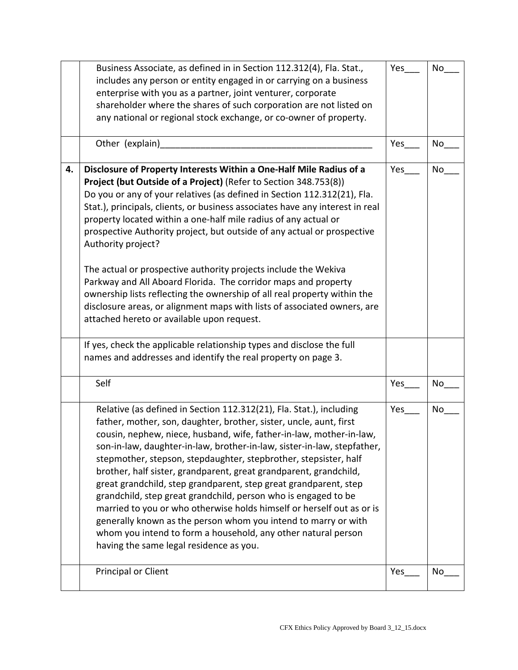|    | Business Associate, as defined in in Section 112.312(4), Fla. Stat.,<br>includes any person or entity engaged in or carrying on a business<br>enterprise with you as a partner, joint venturer, corporate<br>shareholder where the shares of such corporation are not listed on<br>any national or regional stock exchange, or co-owner of property.                                                                                                                                                                                                                                                                                                                                                                                                                                                                                                                                                                                                          | Yes | No |
|----|---------------------------------------------------------------------------------------------------------------------------------------------------------------------------------------------------------------------------------------------------------------------------------------------------------------------------------------------------------------------------------------------------------------------------------------------------------------------------------------------------------------------------------------------------------------------------------------------------------------------------------------------------------------------------------------------------------------------------------------------------------------------------------------------------------------------------------------------------------------------------------------------------------------------------------------------------------------|-----|----|
|    | Other (explain)                                                                                                                                                                                                                                                                                                                                                                                                                                                                                                                                                                                                                                                                                                                                                                                                                                                                                                                                               | Yes | No |
| 4. | Disclosure of Property Interests Within a One-Half Mile Radius of a<br>Project (but Outside of a Project) (Refer to Section 348.753(8))<br>Do you or any of your relatives (as defined in Section 112.312(21), Fla.<br>Stat.), principals, clients, or business associates have any interest in real<br>property located within a one-half mile radius of any actual or<br>prospective Authority project, but outside of any actual or prospective<br>Authority project?<br>The actual or prospective authority projects include the Wekiva<br>Parkway and All Aboard Florida. The corridor maps and property<br>ownership lists reflecting the ownership of all real property within the<br>disclosure areas, or alignment maps with lists of associated owners, are<br>attached hereto or available upon request.<br>If yes, check the applicable relationship types and disclose the full<br>names and addresses and identify the real property on page 3. | Yes | No |
|    | Self                                                                                                                                                                                                                                                                                                                                                                                                                                                                                                                                                                                                                                                                                                                                                                                                                                                                                                                                                          | Yes | No |
|    | Relative (as defined in Section 112.312(21), Fla. Stat.), including<br>father, mother, son, daughter, brother, sister, uncle, aunt, first<br>cousin, nephew, niece, husband, wife, father-in-law, mother-in-law,<br>son-in-law, daughter-in-law, brother-in-law, sister-in-law, stepfather,<br>stepmother, stepson, stepdaughter, stepbrother, stepsister, half<br>brother, half sister, grandparent, great grandparent, grandchild,<br>great grandchild, step grandparent, step great grandparent, step<br>grandchild, step great grandchild, person who is engaged to be<br>married to you or who otherwise holds himself or herself out as or is<br>generally known as the person whom you intend to marry or with<br>whom you intend to form a household, any other natural person<br>having the same legal residence as you.                                                                                                                             | Yes | No |
|    | Principal or Client                                                                                                                                                                                                                                                                                                                                                                                                                                                                                                                                                                                                                                                                                                                                                                                                                                                                                                                                           | Yes | No |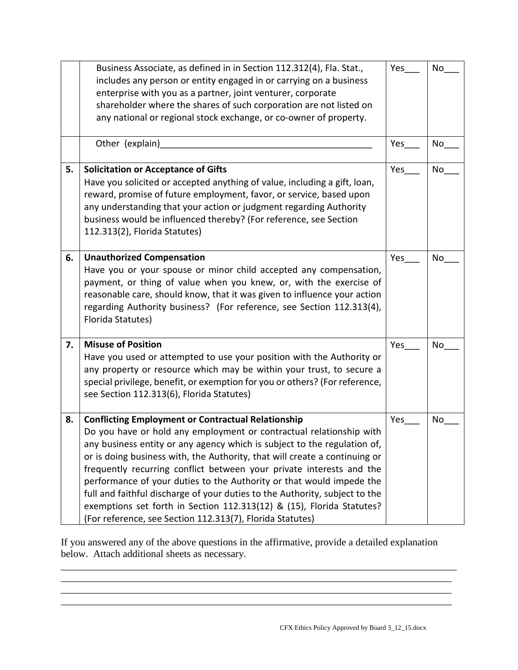|    | Business Associate, as defined in in Section 112.312(4), Fla. Stat.,<br>includes any person or entity engaged in or carrying on a business<br>enterprise with you as a partner, joint venturer, corporate<br>shareholder where the shares of such corporation are not listed on<br>any national or regional stock exchange, or co-owner of property.                                                                                                                                                                                                                                                                                                            | Yes | No |
|----|-----------------------------------------------------------------------------------------------------------------------------------------------------------------------------------------------------------------------------------------------------------------------------------------------------------------------------------------------------------------------------------------------------------------------------------------------------------------------------------------------------------------------------------------------------------------------------------------------------------------------------------------------------------------|-----|----|
|    | Other (explain)                                                                                                                                                                                                                                                                                                                                                                                                                                                                                                                                                                                                                                                 | Yes | No |
| 5. | <b>Solicitation or Acceptance of Gifts</b><br>Have you solicited or accepted anything of value, including a gift, loan,<br>reward, promise of future employment, favor, or service, based upon<br>any understanding that your action or judgment regarding Authority<br>business would be influenced thereby? (For reference, see Section<br>112.313(2), Florida Statutes)                                                                                                                                                                                                                                                                                      | Yes | No |
| 6. | <b>Unauthorized Compensation</b><br>Have you or your spouse or minor child accepted any compensation,<br>payment, or thing of value when you knew, or, with the exercise of<br>reasonable care, should know, that it was given to influence your action<br>regarding Authority business? (For reference, see Section 112.313(4),<br>Florida Statutes)                                                                                                                                                                                                                                                                                                           | Yes | No |
| 7. | <b>Misuse of Position</b><br>Have you used or attempted to use your position with the Authority or<br>any property or resource which may be within your trust, to secure a<br>special privilege, benefit, or exemption for you or others? (For reference,<br>see Section 112.313(6), Florida Statutes)                                                                                                                                                                                                                                                                                                                                                          | Yes | No |
| 8. | <b>Conflicting Employment or Contractual Relationship</b><br>Do you have or hold any employment or contractual relationship with<br>any business entity or any agency which is subject to the regulation of,<br>or is doing business with, the Authority, that will create a continuing or<br>frequently recurring conflict between your private interests and the<br>performance of your duties to the Authority or that would impede the<br>full and faithful discharge of your duties to the Authority, subject to the<br>exemptions set forth in Section 112.313(12) & (15), Florida Statutes?<br>(For reference, see Section 112.313(7), Florida Statutes) | Yes | No |

If you answered any of the above questions in the affirmative, provide a detailed explanation below. Attach additional sheets as necessary.

\_\_\_\_\_\_\_\_\_\_\_\_\_\_\_\_\_\_\_\_\_\_\_\_\_\_\_\_\_\_\_\_\_\_\_\_\_\_\_\_\_\_\_\_\_\_\_\_\_\_\_\_\_\_\_\_\_\_\_\_\_\_\_\_\_\_\_\_\_\_\_\_\_\_\_\_\_

\_\_\_\_\_\_\_\_\_\_\_\_\_\_\_\_\_\_\_\_\_\_\_\_\_\_\_\_\_\_\_\_\_\_\_\_\_\_\_\_\_\_\_\_\_\_\_\_\_\_\_\_\_\_\_\_\_\_\_\_\_\_\_\_\_\_\_\_\_\_\_\_\_\_\_\_\_

\_\_\_\_\_\_\_\_\_\_\_\_\_\_\_\_\_\_\_\_\_\_\_\_\_\_\_\_\_\_\_\_\_\_\_\_\_\_\_\_\_\_\_\_\_\_\_\_\_\_\_\_\_\_\_\_\_\_\_\_\_\_\_\_\_\_\_\_\_\_\_\_\_\_\_\_\_\_

\_\_\_\_\_\_\_\_\_\_\_\_\_\_\_\_\_\_\_\_\_\_\_\_\_\_\_\_\_\_\_\_\_\_\_\_\_\_\_\_\_\_\_\_\_\_\_\_\_\_\_\_\_\_\_\_\_\_\_\_\_\_\_\_\_\_\_\_\_\_\_\_\_\_\_\_\_